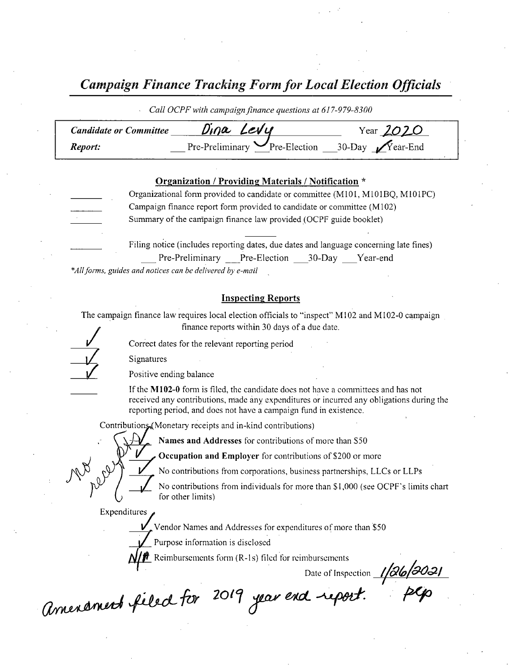Campaign Finance Tracking Form for Local Election Officials

Call OCPF with campaign finance questions at 617-979-8300

| <b>Candidate or Committee</b> | Dina Levy                                                | Year $2020$ |
|-------------------------------|----------------------------------------------------------|-------------|
| Report:                       | Pre-Preliminary Pre-Election __30-Day $\sqrt{Y}$ ear-End |             |

## Organization / Providing Materials/ Notification \*

Organizational form provided to candidate or committee (M101, M101BQ, M101PC) Campaign finance report form provided to candidate or committee( M102) Summary of the campaign finance law provided( OCPF guide booklet) Filing notice (includes reporting dates, due dates and language concerning late fines)

Pre-Preliminary Pre-Election 30-Day Year-end \*All forms, guides and notices can be delivered by e-mail

## Inspecting Reports

The campaign finance law requires local election officials to "inspect" M102 and M102-0 campaign finance reports within 30 days of <sup>a</sup> due date.

Correct dates for the relevant reporting period

**Signatures** 

Positive ending balance

If the  $M102-0$  form is filed, the candidate does not have a committees and has not received any contributions, made any expenditures or incurred any obligations during the reporting period, and does not have a campaign fund in existence.

Contributions (Monetary receipts and in-kind contributions)

Names and Addresses for contributions of more than S50

Occupation and Employer for contributions of \$200 or more

No contributions from corporations, business partnerships, LLCs or LLPs

No contributions from individuals for more than \$1,000 (see OCPF's limits chart for other limits)

Expenditures

Vendor Names and Addresses for expenditures of more than \$50

Purpose information is disclosed

Reimbursements form  $(R-1s)$  filed for reimbursements

Date of Inspection  $\frac{1}{266/302}$ 

Amenament filed for 2019 year end report.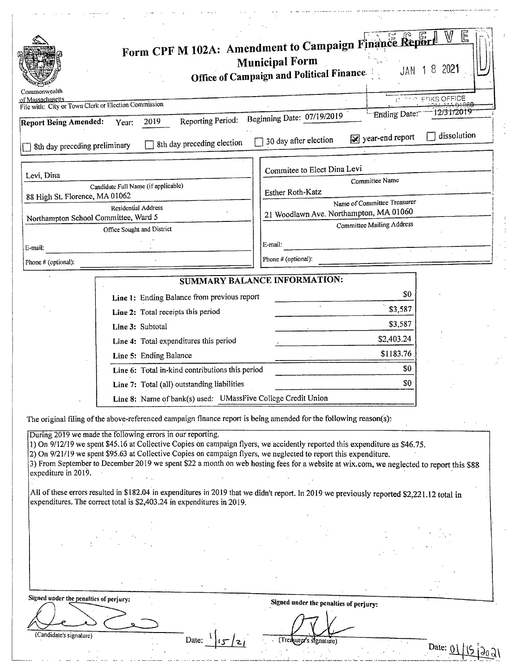| Commonwealth                           |                                                                                                                                                                                                                                                                                                                                                                                                                                                                                                                                                                                                        | Form CPF M 102A: Amendment to Campaign Finance Report<br><b>Municipal Form</b><br>Office of Campaign and Political Finance. | E<br>2021<br>$JAN$ 18            |  |
|----------------------------------------|--------------------------------------------------------------------------------------------------------------------------------------------------------------------------------------------------------------------------------------------------------------------------------------------------------------------------------------------------------------------------------------------------------------------------------------------------------------------------------------------------------------------------------------------------------------------------------------------------------|-----------------------------------------------------------------------------------------------------------------------------|----------------------------------|--|
| of Massachusetts                       | File with: City or Town Clerk or Election Commission                                                                                                                                                                                                                                                                                                                                                                                                                                                                                                                                                   |                                                                                                                             | <b>EFIKS OFFICE</b>              |  |
|                                        | Reporting Period:                                                                                                                                                                                                                                                                                                                                                                                                                                                                                                                                                                                      | Beginning Date: 07/19/2019                                                                                                  | 12/31/2019<br>Ending Date:       |  |
| <b>Report Being Amended:</b>           | 2019<br>Year:                                                                                                                                                                                                                                                                                                                                                                                                                                                                                                                                                                                          |                                                                                                                             | dissolution                      |  |
| 8th day preceding preliminary          | 8th day preceding election                                                                                                                                                                                                                                                                                                                                                                                                                                                                                                                                                                             | 30 day after election                                                                                                       | $\sqrt{ }$ year-end report       |  |
| Levi, Dina                             |                                                                                                                                                                                                                                                                                                                                                                                                                                                                                                                                                                                                        | Commitee to Elect Dina Levi                                                                                                 |                                  |  |
|                                        | Candidate Full Name (if applicable)                                                                                                                                                                                                                                                                                                                                                                                                                                                                                                                                                                    | Esther Roth-Katz                                                                                                            | Committee Name                   |  |
| 88 High St. Florence, MA 01062         |                                                                                                                                                                                                                                                                                                                                                                                                                                                                                                                                                                                                        |                                                                                                                             | Name of Committee Treasurer      |  |
|                                        | <b>Residential Address</b><br>Northampton School Committee, Ward 5                                                                                                                                                                                                                                                                                                                                                                                                                                                                                                                                     | 21 Woodlawn Ave. Northampton, MA 01060                                                                                      |                                  |  |
|                                        | Office Sought and District                                                                                                                                                                                                                                                                                                                                                                                                                                                                                                                                                                             |                                                                                                                             | <b>Committee Mailing Address</b> |  |
| E-mail:                                |                                                                                                                                                                                                                                                                                                                                                                                                                                                                                                                                                                                                        | E-mail:                                                                                                                     |                                  |  |
| Phone # (optional):                    |                                                                                                                                                                                                                                                                                                                                                                                                                                                                                                                                                                                                        | Phone # (optional):                                                                                                         |                                  |  |
|                                        |                                                                                                                                                                                                                                                                                                                                                                                                                                                                                                                                                                                                        |                                                                                                                             |                                  |  |
|                                        |                                                                                                                                                                                                                                                                                                                                                                                                                                                                                                                                                                                                        | SUMMARY BALANCE INFORMATION:                                                                                                |                                  |  |
|                                        | Line 1: Ending Balance from previous report                                                                                                                                                                                                                                                                                                                                                                                                                                                                                                                                                            |                                                                                                                             | \$0                              |  |
|                                        | Line 2: Total receipts this period                                                                                                                                                                                                                                                                                                                                                                                                                                                                                                                                                                     |                                                                                                                             | \$3,587                          |  |
|                                        | Line 3: Subtotal                                                                                                                                                                                                                                                                                                                                                                                                                                                                                                                                                                                       |                                                                                                                             | \$3,587                          |  |
|                                        | Line 4: Total expenditures this period                                                                                                                                                                                                                                                                                                                                                                                                                                                                                                                                                                 |                                                                                                                             | \$2,403.24                       |  |
|                                        | Line 5: Ending Balance                                                                                                                                                                                                                                                                                                                                                                                                                                                                                                                                                                                 |                                                                                                                             | \$1183.76                        |  |
|                                        | Line 6: Total in-kind contributions this period                                                                                                                                                                                                                                                                                                                                                                                                                                                                                                                                                        |                                                                                                                             | \$0                              |  |
|                                        | Line 7: Total (all) outstanding liabilities                                                                                                                                                                                                                                                                                                                                                                                                                                                                                                                                                            |                                                                                                                             | \$0                              |  |
|                                        | Line 8: Name of bank(s) used: UMassFive College Credit Union                                                                                                                                                                                                                                                                                                                                                                                                                                                                                                                                           |                                                                                                                             |                                  |  |
|                                        | The original filing of the above-referenced campaign finance report is being amended for the following reason(s):                                                                                                                                                                                                                                                                                                                                                                                                                                                                                      |                                                                                                                             |                                  |  |
| expediture in 2019.                    | During 2019 we made the following errors in our reporting.<br>1) On 9/12/19 we spent \$45.16 at Collective Copies on campaign flyers, we accidently reported this expenditure as \$46.75.<br>2) On 9/21/19 we spent \$95.63 at Collective Copies on campaign flyers, we neglected to report this expenditure.<br>3) From September to December 2019 we spent \$22 a month on web hosting fees for a website at wix.com, we neglected to report this \$88<br>All of these errors resulted in \$182.04 in expenditures in 2019 that we didn't report. In 2019 we previously reported \$2,221.12 total in |                                                                                                                             |                                  |  |
|                                        | expenditures. The correct total is \$2,403.24 in expenditures in 2019.                                                                                                                                                                                                                                                                                                                                                                                                                                                                                                                                 |                                                                                                                             |                                  |  |
|                                        |                                                                                                                                                                                                                                                                                                                                                                                                                                                                                                                                                                                                        |                                                                                                                             |                                  |  |
|                                        |                                                                                                                                                                                                                                                                                                                                                                                                                                                                                                                                                                                                        |                                                                                                                             |                                  |  |
|                                        |                                                                                                                                                                                                                                                                                                                                                                                                                                                                                                                                                                                                        |                                                                                                                             |                                  |  |
|                                        |                                                                                                                                                                                                                                                                                                                                                                                                                                                                                                                                                                                                        |                                                                                                                             |                                  |  |
|                                        |                                                                                                                                                                                                                                                                                                                                                                                                                                                                                                                                                                                                        |                                                                                                                             |                                  |  |
| Signed under the penalties of perjury: |                                                                                                                                                                                                                                                                                                                                                                                                                                                                                                                                                                                                        |                                                                                                                             |                                  |  |
|                                        |                                                                                                                                                                                                                                                                                                                                                                                                                                                                                                                                                                                                        | Signed under the penalties of perjury:                                                                                      |                                  |  |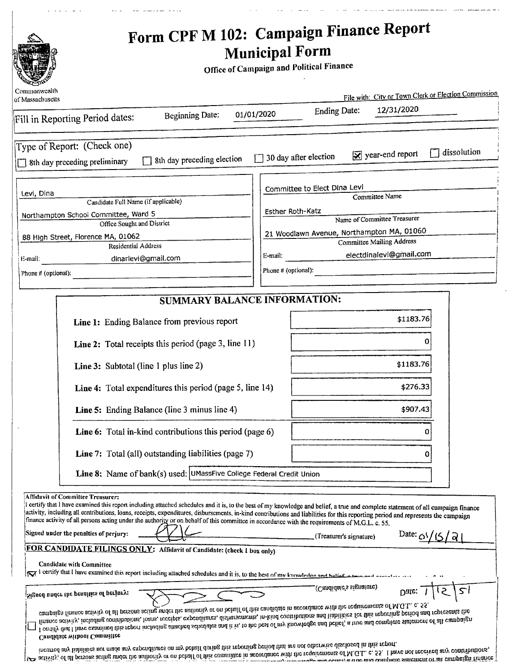| المنفرد الحبيسا والوجاد<br>the contract of the company and several company of the contract of the company and<br>, which is a constant of the continuous constant constant $\mathcal{L}_\mathbf{r}$ and $\mathcal{L}_\mathbf{r}$<br>Form CPF M 102: Campaign Finance Report<br>O<br><b>Municipal Form</b><br>Office of Campaign and Political Finance<br>ommonwealti<br>File with: City or Town Clerk or Election Commission<br>Ending Date: 12/31/2020<br>Beginning Date: 01/01/2020<br><sup>T</sup> ill in Reporting Period dates:<br>$\begin{tabular}{lcccccc} \multicolumn{2}{c }{\textbf{1} & \textbf{2} & \textbf{3} & \textbf{4} & \textbf{5} & \textbf{5} & \textbf{6} & \textbf{6} & \textbf{7} & \textbf{8} & \textbf{8} & \textbf{9} & \textbf{10} & \textbf{10} & \textbf{10} & \textbf{10} & \textbf{10} & \textbf{10} & \textbf{10} & \textbf{10} & \textbf{10} & \textbf{10} & \textbf{10} & \textbf{10} & \textbf{10} & \textbf{10} & \textbf{$<br>Type of Report: (Check one)<br>8th day preceding preliminary $\Box$ 8th day preceding election $\Box$ 30 day after election $\Box$ year-end report $\Box$ dissolution<br>Committee to Elect Dina Levi<br>Levi, Dina<br>Candidate Full Name (if applicable)<br>Committee Name<br>Esther Roth-Katz<br>Northampton School Committee, Ward 5<br>Office Sought and District<br>Name of Committee Treasurer<br>21 Woodlawn Avenue, Northampton MA, 01060<br>Committee Mailing Address<br>Residential Address<br>electdinalevi@gmail.com<br>dinarlevi@gmail.com<br>_________<br>Phone # (optional)<br>Phone # (optional)<br>SUMMARY BALANCE INFORMATION:<br>\$1183.76<br>Line 1: Ending Balance from previous report<br><b>Line 2:</b> Total receipts this period (page 3, line 11)<br>\$1183.76<br>Line 3: Subtotal (line 1 plus line 2)<br>\$276.33<br><b>Line 4:</b> Total expenditures this period (page 5, line 14)<br><b>Line 5:</b> Ending Balance (line 3 minus line 4)<br>\$907,43<br>_______________________<br>Line 6: Total in-kind contributions this period (page 6)<br>Line 7: Total (all) outstanding liabilities (page 7)<br>————————————————————<br><b>Line 8:</b> Name of $bank(s)$ used: $UMassFive College Federal Credit Union$<br>Extrigation of Community Freedom Community Free Satisfact Schedules and it is, to the best of my knowledge and belief, a true and complete statement of all campaign finance<br>activity, including all contributions, loans, rec<br>Signed under the penalties of perjury:<br>Date: $\alpha\sqrt{15/a}$<br>$\leftarrow$ (Treasurer's signature)<br>Candidate with Committee<br>Date: $\frac{1}{5}$ $\frac{5}{1}$<br>Signed under the penalties of perjury: (Candidate's signature)<br>campaign finance activity of all persons acting under the authority or on behalf of this candidate in accordance with the requirements of M.G.L. c. 55.<br>Canalusty transactor community.<br><b>Candidate without Committee</b> |                                                                                                                                                                                                                                |  |  |  |
|----------------------------------------------------------------------------------------------------------------------------------------------------------------------------------------------------------------------------------------------------------------------------------------------------------------------------------------------------------------------------------------------------------------------------------------------------------------------------------------------------------------------------------------------------------------------------------------------------------------------------------------------------------------------------------------------------------------------------------------------------------------------------------------------------------------------------------------------------------------------------------------------------------------------------------------------------------------------------------------------------------------------------------------------------------------------------------------------------------------------------------------------------------------------------------------------------------------------------------------------------------------------------------------------------------------------------------------------------------------------------------------------------------------------------------------------------------------------------------------------------------------------------------------------------------------------------------------------------------------------------------------------------------------------------------------------------------------------------------------------------------------------------------------------------------------------------------------------------------------------------------------------------------------------------------------------------------------------------------------------------------------------------------------------------------------------------------------------------------------------------------------------------------------------------------------------------------------------------------------------------------------------------------------------------------------------------------------------------------------------------------------------------------------------------------------------------------------------------------------------------------------------------------------------------------------------------------------------------------------------------------------------------------------------------------------------------------------------------------------------------------------------------------------------------------------------------------------------------------------------------------------------------------------------------------------------|--------------------------------------------------------------------------------------------------------------------------------------------------------------------------------------------------------------------------------|--|--|--|
|                                                                                                                                                                                                                                                                                                                                                                                                                                                                                                                                                                                                                                                                                                                                                                                                                                                                                                                                                                                                                                                                                                                                                                                                                                                                                                                                                                                                                                                                                                                                                                                                                                                                                                                                                                                                                                                                                                                                                                                                                                                                                                                                                                                                                                                                                                                                                                                                                                                                                                                                                                                                                                                                                                                                                                                                                                                                                                                                              |                                                                                                                                                                                                                                |  |  |  |
|                                                                                                                                                                                                                                                                                                                                                                                                                                                                                                                                                                                                                                                                                                                                                                                                                                                                                                                                                                                                                                                                                                                                                                                                                                                                                                                                                                                                                                                                                                                                                                                                                                                                                                                                                                                                                                                                                                                                                                                                                                                                                                                                                                                                                                                                                                                                                                                                                                                                                                                                                                                                                                                                                                                                                                                                                                                                                                                                              |                                                                                                                                                                                                                                |  |  |  |
|                                                                                                                                                                                                                                                                                                                                                                                                                                                                                                                                                                                                                                                                                                                                                                                                                                                                                                                                                                                                                                                                                                                                                                                                                                                                                                                                                                                                                                                                                                                                                                                                                                                                                                                                                                                                                                                                                                                                                                                                                                                                                                                                                                                                                                                                                                                                                                                                                                                                                                                                                                                                                                                                                                                                                                                                                                                                                                                                              |                                                                                                                                                                                                                                |  |  |  |
|                                                                                                                                                                                                                                                                                                                                                                                                                                                                                                                                                                                                                                                                                                                                                                                                                                                                                                                                                                                                                                                                                                                                                                                                                                                                                                                                                                                                                                                                                                                                                                                                                                                                                                                                                                                                                                                                                                                                                                                                                                                                                                                                                                                                                                                                                                                                                                                                                                                                                                                                                                                                                                                                                                                                                                                                                                                                                                                                              |                                                                                                                                                                                                                                |  |  |  |
|                                                                                                                                                                                                                                                                                                                                                                                                                                                                                                                                                                                                                                                                                                                                                                                                                                                                                                                                                                                                                                                                                                                                                                                                                                                                                                                                                                                                                                                                                                                                                                                                                                                                                                                                                                                                                                                                                                                                                                                                                                                                                                                                                                                                                                                                                                                                                                                                                                                                                                                                                                                                                                                                                                                                                                                                                                                                                                                                              |                                                                                                                                                                                                                                |  |  |  |
|                                                                                                                                                                                                                                                                                                                                                                                                                                                                                                                                                                                                                                                                                                                                                                                                                                                                                                                                                                                                                                                                                                                                                                                                                                                                                                                                                                                                                                                                                                                                                                                                                                                                                                                                                                                                                                                                                                                                                                                                                                                                                                                                                                                                                                                                                                                                                                                                                                                                                                                                                                                                                                                                                                                                                                                                                                                                                                                                              |                                                                                                                                                                                                                                |  |  |  |
|                                                                                                                                                                                                                                                                                                                                                                                                                                                                                                                                                                                                                                                                                                                                                                                                                                                                                                                                                                                                                                                                                                                                                                                                                                                                                                                                                                                                                                                                                                                                                                                                                                                                                                                                                                                                                                                                                                                                                                                                                                                                                                                                                                                                                                                                                                                                                                                                                                                                                                                                                                                                                                                                                                                                                                                                                                                                                                                                              |                                                                                                                                                                                                                                |  |  |  |
|                                                                                                                                                                                                                                                                                                                                                                                                                                                                                                                                                                                                                                                                                                                                                                                                                                                                                                                                                                                                                                                                                                                                                                                                                                                                                                                                                                                                                                                                                                                                                                                                                                                                                                                                                                                                                                                                                                                                                                                                                                                                                                                                                                                                                                                                                                                                                                                                                                                                                                                                                                                                                                                                                                                                                                                                                                                                                                                                              |                                                                                                                                                                                                                                |  |  |  |
|                                                                                                                                                                                                                                                                                                                                                                                                                                                                                                                                                                                                                                                                                                                                                                                                                                                                                                                                                                                                                                                                                                                                                                                                                                                                                                                                                                                                                                                                                                                                                                                                                                                                                                                                                                                                                                                                                                                                                                                                                                                                                                                                                                                                                                                                                                                                                                                                                                                                                                                                                                                                                                                                                                                                                                                                                                                                                                                                              |                                                                                                                                                                                                                                |  |  |  |
|                                                                                                                                                                                                                                                                                                                                                                                                                                                                                                                                                                                                                                                                                                                                                                                                                                                                                                                                                                                                                                                                                                                                                                                                                                                                                                                                                                                                                                                                                                                                                                                                                                                                                                                                                                                                                                                                                                                                                                                                                                                                                                                                                                                                                                                                                                                                                                                                                                                                                                                                                                                                                                                                                                                                                                                                                                                                                                                                              |                                                                                                                                                                                                                                |  |  |  |
|                                                                                                                                                                                                                                                                                                                                                                                                                                                                                                                                                                                                                                                                                                                                                                                                                                                                                                                                                                                                                                                                                                                                                                                                                                                                                                                                                                                                                                                                                                                                                                                                                                                                                                                                                                                                                                                                                                                                                                                                                                                                                                                                                                                                                                                                                                                                                                                                                                                                                                                                                                                                                                                                                                                                                                                                                                                                                                                                              |                                                                                                                                                                                                                                |  |  |  |
|                                                                                                                                                                                                                                                                                                                                                                                                                                                                                                                                                                                                                                                                                                                                                                                                                                                                                                                                                                                                                                                                                                                                                                                                                                                                                                                                                                                                                                                                                                                                                                                                                                                                                                                                                                                                                                                                                                                                                                                                                                                                                                                                                                                                                                                                                                                                                                                                                                                                                                                                                                                                                                                                                                                                                                                                                                                                                                                                              |                                                                                                                                                                                                                                |  |  |  |
|                                                                                                                                                                                                                                                                                                                                                                                                                                                                                                                                                                                                                                                                                                                                                                                                                                                                                                                                                                                                                                                                                                                                                                                                                                                                                                                                                                                                                                                                                                                                                                                                                                                                                                                                                                                                                                                                                                                                                                                                                                                                                                                                                                                                                                                                                                                                                                                                                                                                                                                                                                                                                                                                                                                                                                                                                                                                                                                                              |                                                                                                                                                                                                                                |  |  |  |
|                                                                                                                                                                                                                                                                                                                                                                                                                                                                                                                                                                                                                                                                                                                                                                                                                                                                                                                                                                                                                                                                                                                                                                                                                                                                                                                                                                                                                                                                                                                                                                                                                                                                                                                                                                                                                                                                                                                                                                                                                                                                                                                                                                                                                                                                                                                                                                                                                                                                                                                                                                                                                                                                                                                                                                                                                                                                                                                                              |                                                                                                                                                                                                                                |  |  |  |
|                                                                                                                                                                                                                                                                                                                                                                                                                                                                                                                                                                                                                                                                                                                                                                                                                                                                                                                                                                                                                                                                                                                                                                                                                                                                                                                                                                                                                                                                                                                                                                                                                                                                                                                                                                                                                                                                                                                                                                                                                                                                                                                                                                                                                                                                                                                                                                                                                                                                                                                                                                                                                                                                                                                                                                                                                                                                                                                                              |                                                                                                                                                                                                                                |  |  |  |
|                                                                                                                                                                                                                                                                                                                                                                                                                                                                                                                                                                                                                                                                                                                                                                                                                                                                                                                                                                                                                                                                                                                                                                                                                                                                                                                                                                                                                                                                                                                                                                                                                                                                                                                                                                                                                                                                                                                                                                                                                                                                                                                                                                                                                                                                                                                                                                                                                                                                                                                                                                                                                                                                                                                                                                                                                                                                                                                                              |                                                                                                                                                                                                                                |  |  |  |
|                                                                                                                                                                                                                                                                                                                                                                                                                                                                                                                                                                                                                                                                                                                                                                                                                                                                                                                                                                                                                                                                                                                                                                                                                                                                                                                                                                                                                                                                                                                                                                                                                                                                                                                                                                                                                                                                                                                                                                                                                                                                                                                                                                                                                                                                                                                                                                                                                                                                                                                                                                                                                                                                                                                                                                                                                                                                                                                                              |                                                                                                                                                                                                                                |  |  |  |
|                                                                                                                                                                                                                                                                                                                                                                                                                                                                                                                                                                                                                                                                                                                                                                                                                                                                                                                                                                                                                                                                                                                                                                                                                                                                                                                                                                                                                                                                                                                                                                                                                                                                                                                                                                                                                                                                                                                                                                                                                                                                                                                                                                                                                                                                                                                                                                                                                                                                                                                                                                                                                                                                                                                                                                                                                                                                                                                                              |                                                                                                                                                                                                                                |  |  |  |
|                                                                                                                                                                                                                                                                                                                                                                                                                                                                                                                                                                                                                                                                                                                                                                                                                                                                                                                                                                                                                                                                                                                                                                                                                                                                                                                                                                                                                                                                                                                                                                                                                                                                                                                                                                                                                                                                                                                                                                                                                                                                                                                                                                                                                                                                                                                                                                                                                                                                                                                                                                                                                                                                                                                                                                                                                                                                                                                                              |                                                                                                                                                                                                                                |  |  |  |
|                                                                                                                                                                                                                                                                                                                                                                                                                                                                                                                                                                                                                                                                                                                                                                                                                                                                                                                                                                                                                                                                                                                                                                                                                                                                                                                                                                                                                                                                                                                                                                                                                                                                                                                                                                                                                                                                                                                                                                                                                                                                                                                                                                                                                                                                                                                                                                                                                                                                                                                                                                                                                                                                                                                                                                                                                                                                                                                                              |                                                                                                                                                                                                                                |  |  |  |
|                                                                                                                                                                                                                                                                                                                                                                                                                                                                                                                                                                                                                                                                                                                                                                                                                                                                                                                                                                                                                                                                                                                                                                                                                                                                                                                                                                                                                                                                                                                                                                                                                                                                                                                                                                                                                                                                                                                                                                                                                                                                                                                                                                                                                                                                                                                                                                                                                                                                                                                                                                                                                                                                                                                                                                                                                                                                                                                                              | of Massachusetts                                                                                                                                                                                                               |  |  |  |
|                                                                                                                                                                                                                                                                                                                                                                                                                                                                                                                                                                                                                                                                                                                                                                                                                                                                                                                                                                                                                                                                                                                                                                                                                                                                                                                                                                                                                                                                                                                                                                                                                                                                                                                                                                                                                                                                                                                                                                                                                                                                                                                                                                                                                                                                                                                                                                                                                                                                                                                                                                                                                                                                                                                                                                                                                                                                                                                                              |                                                                                                                                                                                                                                |  |  |  |
|                                                                                                                                                                                                                                                                                                                                                                                                                                                                                                                                                                                                                                                                                                                                                                                                                                                                                                                                                                                                                                                                                                                                                                                                                                                                                                                                                                                                                                                                                                                                                                                                                                                                                                                                                                                                                                                                                                                                                                                                                                                                                                                                                                                                                                                                                                                                                                                                                                                                                                                                                                                                                                                                                                                                                                                                                                                                                                                                              |                                                                                                                                                                                                                                |  |  |  |
|                                                                                                                                                                                                                                                                                                                                                                                                                                                                                                                                                                                                                                                                                                                                                                                                                                                                                                                                                                                                                                                                                                                                                                                                                                                                                                                                                                                                                                                                                                                                                                                                                                                                                                                                                                                                                                                                                                                                                                                                                                                                                                                                                                                                                                                                                                                                                                                                                                                                                                                                                                                                                                                                                                                                                                                                                                                                                                                                              |                                                                                                                                                                                                                                |  |  |  |
|                                                                                                                                                                                                                                                                                                                                                                                                                                                                                                                                                                                                                                                                                                                                                                                                                                                                                                                                                                                                                                                                                                                                                                                                                                                                                                                                                                                                                                                                                                                                                                                                                                                                                                                                                                                                                                                                                                                                                                                                                                                                                                                                                                                                                                                                                                                                                                                                                                                                                                                                                                                                                                                                                                                                                                                                                                                                                                                                              |                                                                                                                                                                                                                                |  |  |  |
|                                                                                                                                                                                                                                                                                                                                                                                                                                                                                                                                                                                                                                                                                                                                                                                                                                                                                                                                                                                                                                                                                                                                                                                                                                                                                                                                                                                                                                                                                                                                                                                                                                                                                                                                                                                                                                                                                                                                                                                                                                                                                                                                                                                                                                                                                                                                                                                                                                                                                                                                                                                                                                                                                                                                                                                                                                                                                                                                              | 88 High Street, Florence MA, 01062                                                                                                                                                                                             |  |  |  |
|                                                                                                                                                                                                                                                                                                                                                                                                                                                                                                                                                                                                                                                                                                                                                                                                                                                                                                                                                                                                                                                                                                                                                                                                                                                                                                                                                                                                                                                                                                                                                                                                                                                                                                                                                                                                                                                                                                                                                                                                                                                                                                                                                                                                                                                                                                                                                                                                                                                                                                                                                                                                                                                                                                                                                                                                                                                                                                                                              |                                                                                                                                                                                                                                |  |  |  |
|                                                                                                                                                                                                                                                                                                                                                                                                                                                                                                                                                                                                                                                                                                                                                                                                                                                                                                                                                                                                                                                                                                                                                                                                                                                                                                                                                                                                                                                                                                                                                                                                                                                                                                                                                                                                                                                                                                                                                                                                                                                                                                                                                                                                                                                                                                                                                                                                                                                                                                                                                                                                                                                                                                                                                                                                                                                                                                                                              |                                                                                                                                                                                                                                |  |  |  |
|                                                                                                                                                                                                                                                                                                                                                                                                                                                                                                                                                                                                                                                                                                                                                                                                                                                                                                                                                                                                                                                                                                                                                                                                                                                                                                                                                                                                                                                                                                                                                                                                                                                                                                                                                                                                                                                                                                                                                                                                                                                                                                                                                                                                                                                                                                                                                                                                                                                                                                                                                                                                                                                                                                                                                                                                                                                                                                                                              |                                                                                                                                                                                                                                |  |  |  |
|                                                                                                                                                                                                                                                                                                                                                                                                                                                                                                                                                                                                                                                                                                                                                                                                                                                                                                                                                                                                                                                                                                                                                                                                                                                                                                                                                                                                                                                                                                                                                                                                                                                                                                                                                                                                                                                                                                                                                                                                                                                                                                                                                                                                                                                                                                                                                                                                                                                                                                                                                                                                                                                                                                                                                                                                                                                                                                                                              |                                                                                                                                                                                                                                |  |  |  |
|                                                                                                                                                                                                                                                                                                                                                                                                                                                                                                                                                                                                                                                                                                                                                                                                                                                                                                                                                                                                                                                                                                                                                                                                                                                                                                                                                                                                                                                                                                                                                                                                                                                                                                                                                                                                                                                                                                                                                                                                                                                                                                                                                                                                                                                                                                                                                                                                                                                                                                                                                                                                                                                                                                                                                                                                                                                                                                                                              |                                                                                                                                                                                                                                |  |  |  |
|                                                                                                                                                                                                                                                                                                                                                                                                                                                                                                                                                                                                                                                                                                                                                                                                                                                                                                                                                                                                                                                                                                                                                                                                                                                                                                                                                                                                                                                                                                                                                                                                                                                                                                                                                                                                                                                                                                                                                                                                                                                                                                                                                                                                                                                                                                                                                                                                                                                                                                                                                                                                                                                                                                                                                                                                                                                                                                                                              |                                                                                                                                                                                                                                |  |  |  |
|                                                                                                                                                                                                                                                                                                                                                                                                                                                                                                                                                                                                                                                                                                                                                                                                                                                                                                                                                                                                                                                                                                                                                                                                                                                                                                                                                                                                                                                                                                                                                                                                                                                                                                                                                                                                                                                                                                                                                                                                                                                                                                                                                                                                                                                                                                                                                                                                                                                                                                                                                                                                                                                                                                                                                                                                                                                                                                                                              |                                                                                                                                                                                                                                |  |  |  |
|                                                                                                                                                                                                                                                                                                                                                                                                                                                                                                                                                                                                                                                                                                                                                                                                                                                                                                                                                                                                                                                                                                                                                                                                                                                                                                                                                                                                                                                                                                                                                                                                                                                                                                                                                                                                                                                                                                                                                                                                                                                                                                                                                                                                                                                                                                                                                                                                                                                                                                                                                                                                                                                                                                                                                                                                                                                                                                                                              |                                                                                                                                                                                                                                |  |  |  |
|                                                                                                                                                                                                                                                                                                                                                                                                                                                                                                                                                                                                                                                                                                                                                                                                                                                                                                                                                                                                                                                                                                                                                                                                                                                                                                                                                                                                                                                                                                                                                                                                                                                                                                                                                                                                                                                                                                                                                                                                                                                                                                                                                                                                                                                                                                                                                                                                                                                                                                                                                                                                                                                                                                                                                                                                                                                                                                                                              |                                                                                                                                                                                                                                |  |  |  |
|                                                                                                                                                                                                                                                                                                                                                                                                                                                                                                                                                                                                                                                                                                                                                                                                                                                                                                                                                                                                                                                                                                                                                                                                                                                                                                                                                                                                                                                                                                                                                                                                                                                                                                                                                                                                                                                                                                                                                                                                                                                                                                                                                                                                                                                                                                                                                                                                                                                                                                                                                                                                                                                                                                                                                                                                                                                                                                                                              | Affidavit of Committee Treasurer:                                                                                                                                                                                              |  |  |  |
|                                                                                                                                                                                                                                                                                                                                                                                                                                                                                                                                                                                                                                                                                                                                                                                                                                                                                                                                                                                                                                                                                                                                                                                                                                                                                                                                                                                                                                                                                                                                                                                                                                                                                                                                                                                                                                                                                                                                                                                                                                                                                                                                                                                                                                                                                                                                                                                                                                                                                                                                                                                                                                                                                                                                                                                                                                                                                                                                              |                                                                                                                                                                                                                                |  |  |  |
|                                                                                                                                                                                                                                                                                                                                                                                                                                                                                                                                                                                                                                                                                                                                                                                                                                                                                                                                                                                                                                                                                                                                                                                                                                                                                                                                                                                                                                                                                                                                                                                                                                                                                                                                                                                                                                                                                                                                                                                                                                                                                                                                                                                                                                                                                                                                                                                                                                                                                                                                                                                                                                                                                                                                                                                                                                                                                                                                              | FOR CANDIDATE FILINGS ONLY: Affidavit of Candidate: (check 1 box only)                                                                                                                                                         |  |  |  |
|                                                                                                                                                                                                                                                                                                                                                                                                                                                                                                                                                                                                                                                                                                                                                                                                                                                                                                                                                                                                                                                                                                                                                                                                                                                                                                                                                                                                                                                                                                                                                                                                                                                                                                                                                                                                                                                                                                                                                                                                                                                                                                                                                                                                                                                                                                                                                                                                                                                                                                                                                                                                                                                                                                                                                                                                                                                                                                                                              | $\frac{1}{\sqrt{2}}$ i certify that I have examined this report including attached schedules and it is, to the best of my knowledge and balief a transport contribution of the set of the best $\frac{1}{\sqrt{2}}$            |  |  |  |
|                                                                                                                                                                                                                                                                                                                                                                                                                                                                                                                                                                                                                                                                                                                                                                                                                                                                                                                                                                                                                                                                                                                                                                                                                                                                                                                                                                                                                                                                                                                                                                                                                                                                                                                                                                                                                                                                                                                                                                                                                                                                                                                                                                                                                                                                                                                                                                                                                                                                                                                                                                                                                                                                                                                                                                                                                                                                                                                                              |                                                                                                                                                                                                                                |  |  |  |
|                                                                                                                                                                                                                                                                                                                                                                                                                                                                                                                                                                                                                                                                                                                                                                                                                                                                                                                                                                                                                                                                                                                                                                                                                                                                                                                                                                                                                                                                                                                                                                                                                                                                                                                                                                                                                                                                                                                                                                                                                                                                                                                                                                                                                                                                                                                                                                                                                                                                                                                                                                                                                                                                                                                                                                                                                                                                                                                                              |                                                                                                                                                                                                                                |  |  |  |
|                                                                                                                                                                                                                                                                                                                                                                                                                                                                                                                                                                                                                                                                                                                                                                                                                                                                                                                                                                                                                                                                                                                                                                                                                                                                                                                                                                                                                                                                                                                                                                                                                                                                                                                                                                                                                                                                                                                                                                                                                                                                                                                                                                                                                                                                                                                                                                                                                                                                                                                                                                                                                                                                                                                                                                                                                                                                                                                                              | $\mu$ activity, of all persons acting under the authority or on behalf of this committee in accordance with the requirements of M.G.L. c. 55. I have not received any contributions, incurred any liabilities nor made any exp |  |  |  |
|                                                                                                                                                                                                                                                                                                                                                                                                                                                                                                                                                                                                                                                                                                                                                                                                                                                                                                                                                                                                                                                                                                                                                                                                                                                                                                                                                                                                                                                                                                                                                                                                                                                                                                                                                                                                                                                                                                                                                                                                                                                                                                                                                                                                                                                                                                                                                                                                                                                                                                                                                                                                                                                                                                                                                                                                                                                                                                                                              |                                                                                                                                                                                                                                |  |  |  |
|                                                                                                                                                                                                                                                                                                                                                                                                                                                                                                                                                                                                                                                                                                                                                                                                                                                                                                                                                                                                                                                                                                                                                                                                                                                                                                                                                                                                                                                                                                                                                                                                                                                                                                                                                                                                                                                                                                                                                                                                                                                                                                                                                                                                                                                                                                                                                                                                                                                                                                                                                                                                                                                                                                                                                                                                                                                                                                                                              |                                                                                                                                                                                                                                |  |  |  |
|                                                                                                                                                                                                                                                                                                                                                                                                                                                                                                                                                                                                                                                                                                                                                                                                                                                                                                                                                                                                                                                                                                                                                                                                                                                                                                                                                                                                                                                                                                                                                                                                                                                                                                                                                                                                                                                                                                                                                                                                                                                                                                                                                                                                                                                                                                                                                                                                                                                                                                                                                                                                                                                                                                                                                                                                                                                                                                                                              |                                                                                                                                                                                                                                |  |  |  |
|                                                                                                                                                                                                                                                                                                                                                                                                                                                                                                                                                                                                                                                                                                                                                                                                                                                                                                                                                                                                                                                                                                                                                                                                                                                                                                                                                                                                                                                                                                                                                                                                                                                                                                                                                                                                                                                                                                                                                                                                                                                                                                                                                                                                                                                                                                                                                                                                                                                                                                                                                                                                                                                                                                                                                                                                                                                                                                                                              |                                                                                                                                                                                                                                |  |  |  |
|                                                                                                                                                                                                                                                                                                                                                                                                                                                                                                                                                                                                                                                                                                                                                                                                                                                                                                                                                                                                                                                                                                                                                                                                                                                                                                                                                                                                                                                                                                                                                                                                                                                                                                                                                                                                                                                                                                                                                                                                                                                                                                                                                                                                                                                                                                                                                                                                                                                                                                                                                                                                                                                                                                                                                                                                                                                                                                                                              |                                                                                                                                                                                                                                |  |  |  |
|                                                                                                                                                                                                                                                                                                                                                                                                                                                                                                                                                                                                                                                                                                                                                                                                                                                                                                                                                                                                                                                                                                                                                                                                                                                                                                                                                                                                                                                                                                                                                                                                                                                                                                                                                                                                                                                                                                                                                                                                                                                                                                                                                                                                                                                                                                                                                                                                                                                                                                                                                                                                                                                                                                                                                                                                                                                                                                                                              |                                                                                                                                                                                                                                |  |  |  |
|                                                                                                                                                                                                                                                                                                                                                                                                                                                                                                                                                                                                                                                                                                                                                                                                                                                                                                                                                                                                                                                                                                                                                                                                                                                                                                                                                                                                                                                                                                                                                                                                                                                                                                                                                                                                                                                                                                                                                                                                                                                                                                                                                                                                                                                                                                                                                                                                                                                                                                                                                                                                                                                                                                                                                                                                                                                                                                                                              |                                                                                                                                                                                                                                |  |  |  |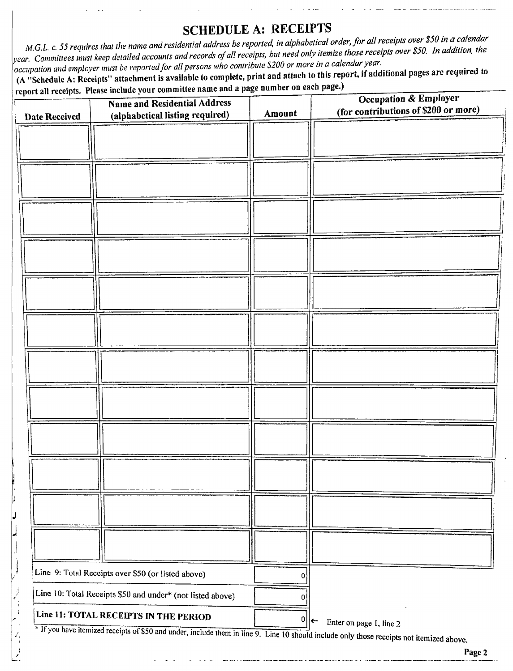# SCHEDULE A: RECEIPTS

M.G.L. c. 55 requires that the name and residential address be reported, in alphabetical order, for all receipts over \$50 in a calendar year. Committees must keep detailed accounts and records of all receipts, but need only itemize those receipts over \$50. In addition, the  $\tilde{C}$  occupation and employer must be reported for all persons who contribute \$200 or more in a calendar year.

A" Schedule A: Receipts" attachment is available to complete, print and attach to this report, if additional pages are required to

|                      | report all receipts. Please include your committee name and a page number on each pager,<br><b>Name and Residential Address</b><br>(alphabetical listing required) | Amount | Occupation & Employer<br>(for contributions of \$200 or more)                                                                                                                                       |
|----------------------|--------------------------------------------------------------------------------------------------------------------------------------------------------------------|--------|-----------------------------------------------------------------------------------------------------------------------------------------------------------------------------------------------------|
| <b>Date Received</b> |                                                                                                                                                                    |        |                                                                                                                                                                                                     |
|                      |                                                                                                                                                                    |        |                                                                                                                                                                                                     |
|                      |                                                                                                                                                                    |        |                                                                                                                                                                                                     |
|                      |                                                                                                                                                                    |        |                                                                                                                                                                                                     |
|                      |                                                                                                                                                                    |        |                                                                                                                                                                                                     |
|                      |                                                                                                                                                                    |        |                                                                                                                                                                                                     |
|                      |                                                                                                                                                                    |        |                                                                                                                                                                                                     |
|                      |                                                                                                                                                                    |        |                                                                                                                                                                                                     |
|                      |                                                                                                                                                                    |        |                                                                                                                                                                                                     |
|                      |                                                                                                                                                                    |        |                                                                                                                                                                                                     |
|                      |                                                                                                                                                                    |        |                                                                                                                                                                                                     |
|                      |                                                                                                                                                                    |        |                                                                                                                                                                                                     |
|                      |                                                                                                                                                                    |        |                                                                                                                                                                                                     |
|                      |                                                                                                                                                                    |        |                                                                                                                                                                                                     |
|                      |                                                                                                                                                                    |        |                                                                                                                                                                                                     |
|                      |                                                                                                                                                                    |        |                                                                                                                                                                                                     |
|                      |                                                                                                                                                                    |        |                                                                                                                                                                                                     |
|                      |                                                                                                                                                                    |        |                                                                                                                                                                                                     |
|                      |                                                                                                                                                                    |        |                                                                                                                                                                                                     |
|                      |                                                                                                                                                                    |        |                                                                                                                                                                                                     |
|                      |                                                                                                                                                                    |        |                                                                                                                                                                                                     |
|                      |                                                                                                                                                                    |        |                                                                                                                                                                                                     |
|                      |                                                                                                                                                                    |        |                                                                                                                                                                                                     |
|                      |                                                                                                                                                                    |        |                                                                                                                                                                                                     |
|                      |                                                                                                                                                                    |        |                                                                                                                                                                                                     |
|                      | Line 9: Total Receipts over \$50 (or listed above)                                                                                                                 | 0      |                                                                                                                                                                                                     |
|                      | Line 10: Total Receipts \$50 and under* (not listed above)                                                                                                         | 0      |                                                                                                                                                                                                     |
|                      | Line 11: TOTAL RECEIPTS IN THE PERIOD                                                                                                                              | 0      |                                                                                                                                                                                                     |
|                      |                                                                                                                                                                    |        | $\left  \leftarrow \right $<br>Enter on page 1, line 2<br>* If you have itemized receipts of \$50 and under, include them in line 9. Line 10 should include only those receipts not itemized above. |

1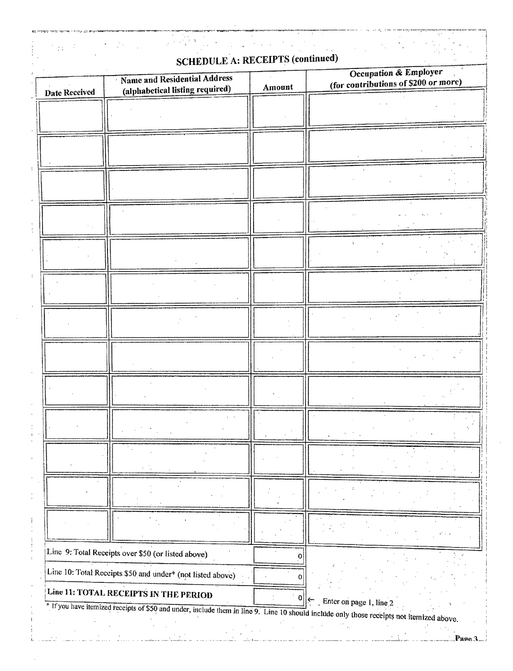|               | <b>SCHEDULE A: RECEIPTS (continued)</b>                                                                                                   |        |                                                               |
|---------------|-------------------------------------------------------------------------------------------------------------------------------------------|--------|---------------------------------------------------------------|
| Date Received | Name and Residential Address<br>(alphabetical listing required)                                                                           | Amount | Occupation & Employer<br>(for contributions of \$200 or more) |
|               |                                                                                                                                           |        |                                                               |
|               |                                                                                                                                           |        |                                                               |
|               |                                                                                                                                           |        |                                                               |
|               |                                                                                                                                           |        |                                                               |
|               |                                                                                                                                           |        |                                                               |
|               |                                                                                                                                           |        |                                                               |
|               |                                                                                                                                           |        |                                                               |
|               |                                                                                                                                           |        |                                                               |
|               |                                                                                                                                           |        |                                                               |
|               |                                                                                                                                           |        |                                                               |
|               |                                                                                                                                           |        |                                                               |
|               |                                                                                                                                           |        |                                                               |
|               |                                                                                                                                           |        |                                                               |
|               |                                                                                                                                           |        |                                                               |
|               |                                                                                                                                           |        |                                                               |
|               |                                                                                                                                           |        |                                                               |
|               |                                                                                                                                           |        |                                                               |
|               |                                                                                                                                           |        |                                                               |
|               |                                                                                                                                           |        |                                                               |
|               |                                                                                                                                           |        |                                                               |
|               |                                                                                                                                           |        |                                                               |
|               |                                                                                                                                           |        |                                                               |
|               | Line 9: Total Receipts over \$50 (or listed above)                                                                                        | O      |                                                               |
|               | Line 10: Total Receipts \$50 and under* (not listed above)                                                                                |        |                                                               |
|               | Line 11: TOTAL RECEIPTS IN THE PERIOD                                                                                                     | 0      |                                                               |
|               | * If you have itemized receipts of \$50 and under, include them in line 9. Line 10 should include only those receipts not itemized above. |        | $\left \leftarrow\right $ Enter on page 1, line 2             |

ŧ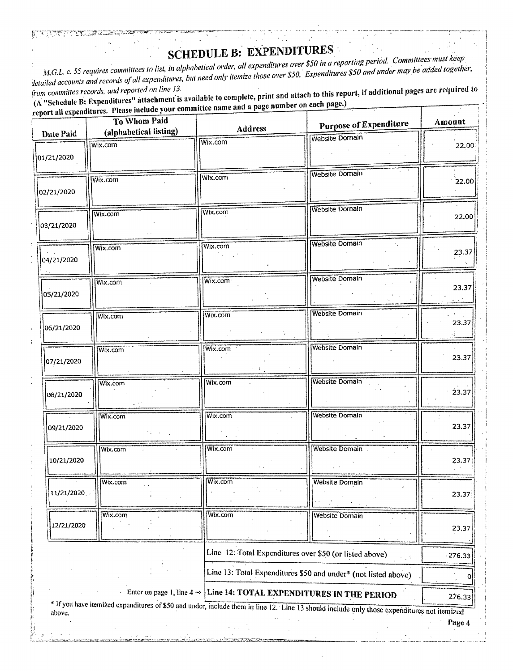SCHEDULE B: EXPENDITURES<br>M.G.L. c. 55 requires committees to list, in alphabetical order, all expenditures over \$50 in a reporting period. Committees must keep M.G.L. c. 55 requires committees to list, in alphabetical order, all expenditures over \$50 in a reporting period. Committees maded together,  $\theta$  detailed accounts and records of all expenditures, but need only it is stated to and under may he added to and the added to  $\theta$ 

from committee records, and reported on line 13.  $\overline{A}$  "Schedule B: Expenditures" attachment is available to complete, print and a name on each page.) report all expenditures. Please include your committee name and a page number on each page.)

| ************ | To Whom Paid<br>(alphabetical listing) | <b>Address</b>                                                                  | <b>Purpose of Expenditure</b>                                                                                                               | Amount       |
|--------------|----------------------------------------|---------------------------------------------------------------------------------|---------------------------------------------------------------------------------------------------------------------------------------------|--------------|
| Date Paid    | Wix.com                                | Wix.com                                                                         | Website Domain                                                                                                                              |              |
| 01/21/2020   |                                        |                                                                                 |                                                                                                                                             | 22.00        |
| 02/21/2020   | Wix.com                                | Wix.com                                                                         | Website Domain                                                                                                                              | 22.00        |
| 03/21/2020   | Wix.com                                | Wix.com                                                                         | <b>Website Domain</b>                                                                                                                       | 22.00        |
| 04/21/2020   | Wix.com                                | Wix.com                                                                         | <b>Website Domain</b>                                                                                                                       | 23.37        |
| 05/21/2020   | Wix.com                                | Wix.com ·                                                                       | <b>Website Domain</b>                                                                                                                       | 23.37        |
| 06/21/2020   | Wix.com                                | Wix.com                                                                         | Website Domain                                                                                                                              | 23.37<br>zá. |
| 07/21/2020   | Wix.com                                | Wix.com                                                                         | <b>Website Domain</b>                                                                                                                       | 23.37        |
| 08/21/2020   | Wix.com                                | Wix.com                                                                         | <b>Website Domain</b>                                                                                                                       | 23.37        |
| 09/21/2020   | Wix.com<br><b>Marine C</b>             | Wix.com                                                                         | <b>Website Domain</b>                                                                                                                       | 23.37        |
| 10/21/2020   | Wix.com                                | Wix.com                                                                         | Website Domain.                                                                                                                             | 23.37        |
| 11/21/2020   | Wix.com                                | Wix.com                                                                         | <b>Website Domain</b>                                                                                                                       | 23.37        |
| 12/21/2020   | Wix.com                                | Wix.com                                                                         | <b>Website Domain</b>                                                                                                                       | 23.37        |
|              |                                        | Line 12: Total Expenditures over \$50 (or listed above)                         | e git                                                                                                                                       | $-276.33$    |
|              |                                        |                                                                                 | Line 13: Total Expenditures \$50 and under* (not listed above)                                                                              | O            |
|              |                                        | Enter on page 1, line $4 \rightarrow$ Line 14: TOTAL EXPENDITURES IN THE PERIOD |                                                                                                                                             | 276.33       |
| above.       |                                        |                                                                                 | * If you have itemized expenditures of \$50 and under, include them in line 12. Line 13 should include only those expenditures not itemized | Page 4       |

<sup>1</sup>' .)

Ţ3.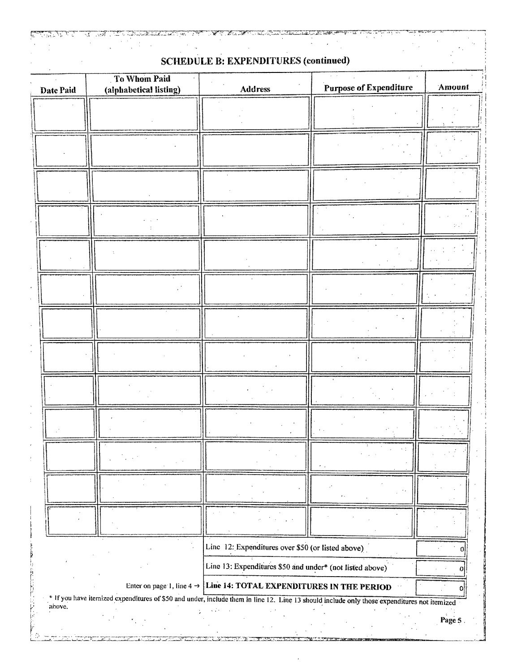|  | <b>SCHEDULE B: EXPENDITURES (continued)</b> |  |
|--|---------------------------------------------|--|

**PARTER** 

 $\hat{L}$ 

Ë

| Date Paid | To Whom Paid<br>(alphabetical listing)                                                                                                      | <b>Address</b>                                                                  | Purpose of Expenditure | Amount |
|-----------|---------------------------------------------------------------------------------------------------------------------------------------------|---------------------------------------------------------------------------------|------------------------|--------|
|           |                                                                                                                                             |                                                                                 |                        |        |
|           |                                                                                                                                             |                                                                                 |                        |        |
|           |                                                                                                                                             |                                                                                 |                        |        |
|           |                                                                                                                                             |                                                                                 |                        | ν,     |
|           |                                                                                                                                             |                                                                                 |                        |        |
|           |                                                                                                                                             |                                                                                 |                        |        |
|           |                                                                                                                                             |                                                                                 |                        |        |
|           |                                                                                                                                             |                                                                                 |                        |        |
|           |                                                                                                                                             |                                                                                 |                        |        |
|           |                                                                                                                                             |                                                                                 |                        |        |
|           |                                                                                                                                             |                                                                                 |                        |        |
|           |                                                                                                                                             |                                                                                 |                        |        |
|           |                                                                                                                                             | Line 12: Expenditures over \$50 (or listed above)                               |                        |        |
|           |                                                                                                                                             | Line 13: Expenditures \$50 and under* (not listed above)                        |                        | п      |
|           |                                                                                                                                             | Enter on page 1, line $4 \rightarrow$ Line 14: TOTAL EXPENDITURES IN THE PERIOD |                        |        |
| above.    | * If you have itemized expenditures of \$50 and under, include them in line 12. Line 13 should include only those expenditures not itemized |                                                                                 |                        | Page 5 |

ะ<br>การดูการทำงานทางทางทางทางการดูการสองสุขการทำงานการสองสุขการสองสุขการสองสุขการทำงานการสองสามารถสองสุขการสองสุขก<br>และเล่า โดยต่างกันคงทำงานการในสองสุขการในการในการในการในการทำงานการในสองสุขการและเล่าทำงานการในการในการใน

 $\alpha$ 

and and the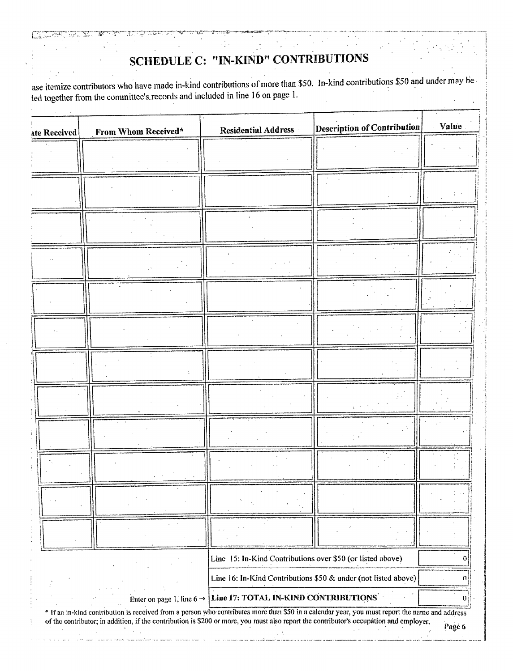# **SCHEDULE C: "IN-KIND" CONTRIBUTIONS**

 $\cdot$ 

بالمستوسين

ase itemize contributors who have made in-kind contributions of more than \$50. In-kind contributions \$50 and under may be led together from the committee's records and included in line 16 on page 1.

| ate Received | From Whom Received* | <b>Residential Address</b>                                                                                                                   | <b>Description of Contribution</b> | Value |
|--------------|---------------------|----------------------------------------------------------------------------------------------------------------------------------------------|------------------------------------|-------|
|              |                     |                                                                                                                                              |                                    |       |
|              |                     |                                                                                                                                              |                                    |       |
|              |                     |                                                                                                                                              |                                    |       |
|              |                     |                                                                                                                                              |                                    |       |
|              |                     |                                                                                                                                              |                                    |       |
|              |                     |                                                                                                                                              |                                    |       |
|              |                     |                                                                                                                                              |                                    |       |
|              |                     |                                                                                                                                              |                                    |       |
|              |                     |                                                                                                                                              |                                    |       |
|              |                     |                                                                                                                                              |                                    |       |
|              |                     |                                                                                                                                              |                                    |       |
|              |                     |                                                                                                                                              |                                    |       |
|              |                     | Line 15: In-Kind Contributions over \$50 (or listed above)                                                                                   |                                    |       |
|              |                     | Line 16: In-Kind Contributions \$50 & under (not listed above)<br>Enter on page 1, line $6 \rightarrow$ Line 17: TOTAL IN-KIND CONTRIBUTIONS |                                    |       |